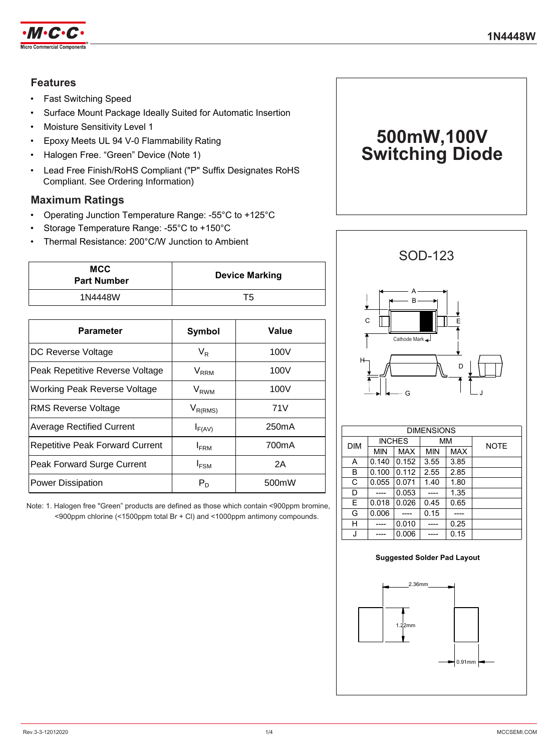

# **Features**

- Fast Switching Speed
- Surface Mount Package Ideally Suited for Automatic Insertion
- Moisture Sensitivity Level 1
- Epoxy Meets UL 94 V-0 Flammability Rating
- Halogen Free. "Green" Device (Note 1)
- Lead Free Finish/RoHS Compliant ("P" Suffix Designates RoHS Compliant. See Ordering Information)

## **Maximum Ratings**

- Operating Junction Temperature Range: -55°C to +125°C
- Storage Temperature Range: -55°C to +150°C
- Thermal Resistance: 200°C/W Junction to Ambient

| MCC<br><b>Part Number</b> | <b>Device Marking</b> |
|---------------------------|-----------------------|
| 1N4448W                   | Т5                    |

| <b>Parameter</b>                       | Symbol                 | Value              |  |
|----------------------------------------|------------------------|--------------------|--|
|                                        |                        |                    |  |
| DC Reverse Voltage                     | $V_{R}$                | 100V               |  |
| Peak Repetitive Reverse Voltage        | <b>V<sub>RRM</sub></b> | 100V               |  |
| Working Peak Reverse Voltage           | V <sub>RWM</sub>       | 100V               |  |
| RMS Reverse Voltage                    | $V_{R(RMS)}$           | 71V                |  |
| <b>Average Rectified Current</b>       | $I_{F(AV)}$            | 250 <sub>m</sub> A |  |
| <b>Repetitive Peak Forward Current</b> | $I_{\text{FRM}}$       | 700mA              |  |
| Peak Forward Surge Current             | I <sub>FSM</sub>       | 2Α                 |  |
| <b>Power Dissipation</b>               | $P_D$                  | 500mW              |  |

Note: 1. Halogen free "Green" products are defined as those which contain <900ppm bromine, <900ppm chlorine (<1500ppm total Br + Cl) and <1000ppm antimony compounds.





|            | <b>DIMENSIONS</b> |       |      |      |             |
|------------|-------------------|-------|------|------|-------------|
| <b>DIM</b> | <b>INCHES</b>     |       | МM   |      | <b>NOTE</b> |
|            | <b>MIN</b>        | MAX   | MIN  | MAX  |             |
| A          | 0.140             | 0.152 | 3.55 | 3.85 |             |
| B          | 0.100             | 0.112 | 2.55 | 2.85 |             |
| C          | 0.055             | 0.071 | 1.40 | 1.80 |             |
| D          |                   | 0.053 |      | 1.35 |             |
| E          | 0.018             | 0.026 | 0.45 | 0.65 |             |
| G          | 0.006             |       | 0.15 |      |             |
| н          |                   | 0.010 |      | 0.25 |             |
|            |                   | 0.006 |      | 0.15 |             |

# 0.91mm 2.36mm 1.22mm **Suggested Solder Pad Layout**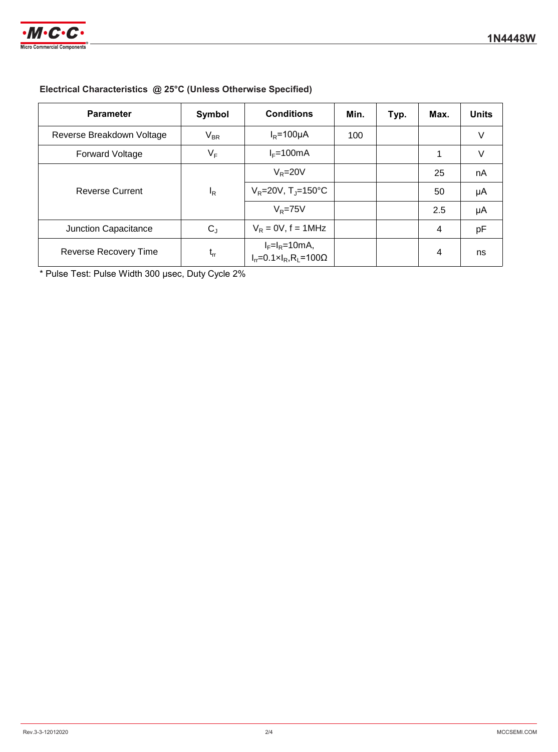

## **Electrical Characteristics @ 25°C (Unless Otherwise Specified)**

| <b>Parameter</b>                | Symbol      | <b>Conditions</b>                                                            | Min. | Typ. | Max. | <b>Units</b> |
|---------------------------------|-------------|------------------------------------------------------------------------------|------|------|------|--------------|
| Reverse Breakdown Voltage       | $V_{BR}$    | $I_R = 100 \mu A$                                                            | 100  |      |      | V            |
| <b>Forward Voltage</b>          | VF          | $I_F = 100mA$                                                                |      |      |      | V            |
| <b>Reverse Current</b><br>$I_R$ | $V_R = 20V$ |                                                                              |      | 25   | nA   |              |
|                                 |             | $V_R = 20V$ , T <sub>J</sub> =150°C                                          |      |      | 50   | μA           |
|                                 |             | $V_R = 75V$                                                                  |      |      | 2.5  | μA           |
| Junction Capacitance            | $C_{J}$     | $V_R = 0V$ , f = 1MHz                                                        |      |      | 4    | pF           |
| Reverse Recovery Time           | $t_{rr}$    | $I_F=I_R=10mA$ ,<br>$I_{rr} = 0.1 \times I_R$ , R <sub>L</sub> =100 $\Omega$ |      |      | 4    | ns           |

\* Pulse Test: Pulse Width 300 μsec, Duty Cycle 2%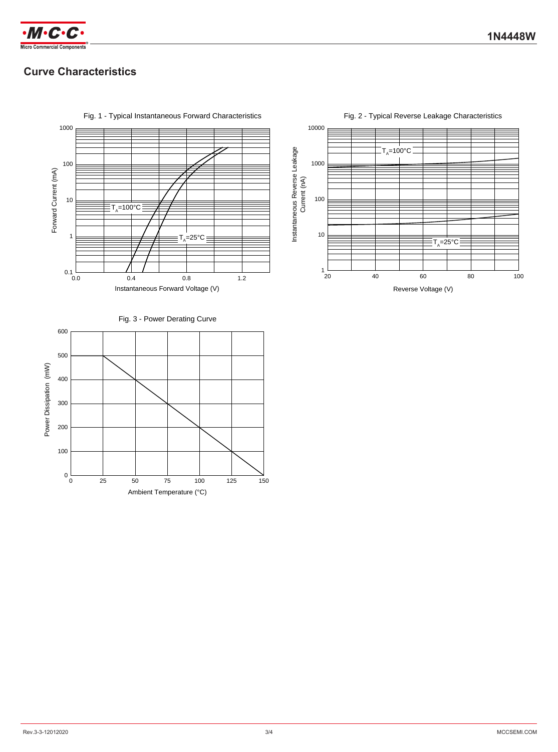

# **Curve Characteristics**



Fig. 1 - Typical Instantaneous Forward Characteristics

Fig. 2 - Typical Reverse Leakage Characteristics



Fig. 3 - Power Derating Curve